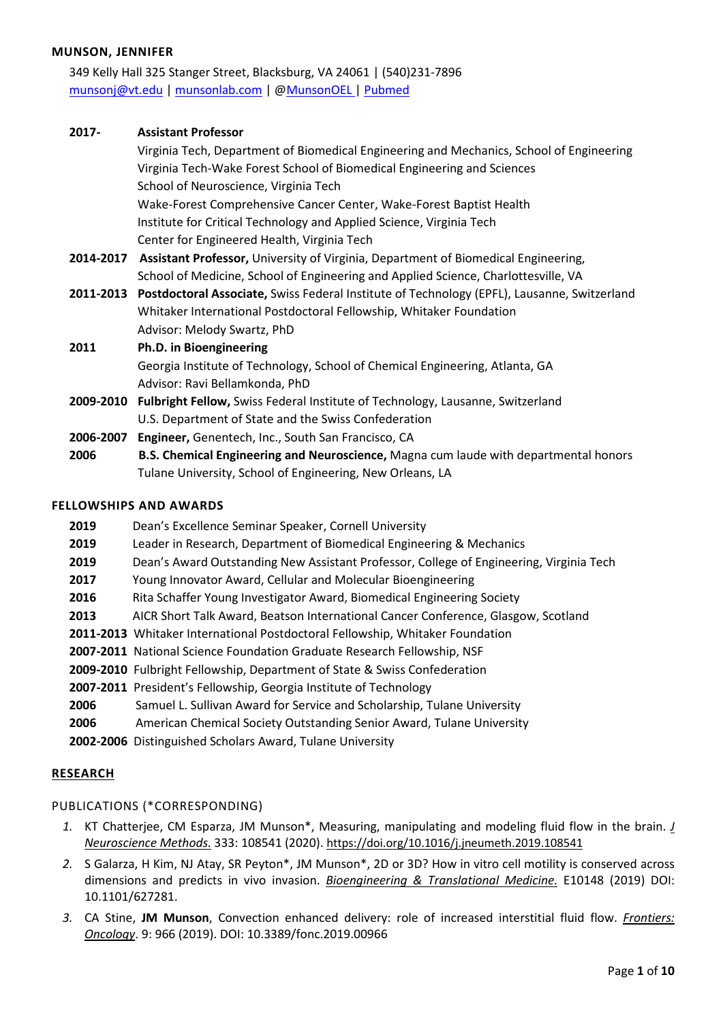#### **MUNSON, JENNIFER**

349 Kelly Hall 325 Stanger Street, Blacksburg, VA 24061 | (540)231-7896 [munsonj@vt.edu](mailto:munsonj@vt.edu) | [munsonlab.com](http://www.munsonlab.com/) | [@MunsonOEL](https://twitter.com/MunsonOEL) | [Pubmed](https://www.ncbi.nlm.nih.gov/sites/myncbi/jenny.munson.1/bibliography/42475479/public/?sort=date&direction=descending)

|                               | Virginia Tech, Department of Biomedical Engineering and Mechanics, School of Engineering              |  |
|-------------------------------|-------------------------------------------------------------------------------------------------------|--|
|                               | Virginia Tech-Wake Forest School of Biomedical Engineering and Sciences                               |  |
|                               | School of Neuroscience, Virginia Tech                                                                 |  |
|                               | Wake-Forest Comprehensive Cancer Center, Wake-Forest Baptist Health                                   |  |
|                               | Institute for Critical Technology and Applied Science, Virginia Tech                                  |  |
|                               | Center for Engineered Health, Virginia Tech                                                           |  |
| 2014-2017                     | Assistant Professor, University of Virginia, Department of Biomedical Engineering,                    |  |
|                               | School of Medicine, School of Engineering and Applied Science, Charlottesville, VA                    |  |
|                               | 2011-2013 Postdoctoral Associate, Swiss Federal Institute of Technology (EPFL), Lausanne, Switzerland |  |
|                               | Whitaker International Postdoctoral Fellowship, Whitaker Foundation                                   |  |
|                               | Advisor: Melody Swartz, PhD                                                                           |  |
| 2011                          | Ph.D. in Bioengineering                                                                               |  |
|                               | Georgia Institute of Technology, School of Chemical Engineering, Atlanta, GA                          |  |
|                               | Advisor: Ravi Bellamkonda, PhD                                                                        |  |
| 2009-2010                     | Fulbright Fellow, Swiss Federal Institute of Technology, Lausanne, Switzerland                        |  |
|                               | U.S. Department of State and the Swiss Confederation                                                  |  |
| 2006-2007                     | Engineer, Genentech, Inc., South San Francisco, CA                                                    |  |
| 2006                          | B.S. Chemical Engineering and Neuroscience, Magna cum laude with departmental honors                  |  |
|                               | Tulane University, School of Engineering, New Orleans, LA                                             |  |
|                               |                                                                                                       |  |
| <b>FELLOWSHIPS AND AWARDS</b> |                                                                                                       |  |

## **2019** Dean's Excellence Seminar Speaker, Cornell University

- **2019** Leader in Research, Department of Biomedical Engineering & Mechanics
- **2019** Dean's Award Outstanding New Assistant Professor, College of Engineering, Virginia Tech
- **2017** Young Innovator Award, Cellular and Molecular Bioengineering
- **2016** Rita Schaffer Young Investigator Award, Biomedical Engineering Society
- **2013** AICR Short Talk Award, Beatson International Cancer Conference, Glasgow, Scotland
- **2011-2013** Whitaker International Postdoctoral Fellowship, Whitaker Foundation
- **2007-2011** National Science Foundation Graduate Research Fellowship, NSF
- **2009-2010** Fulbright Fellowship, Department of State & Swiss Confederation
- **2007-2011** President's Fellowship, Georgia Institute of Technology
- **2006** Samuel L. Sullivan Award for Service and Scholarship, Tulane University
- **2006** American Chemical Society Outstanding Senior Award, Tulane University
- **2002-2006** Distinguished Scholars Award, Tulane University

#### **RESEARCH**

#### PUBLICATIONS (\*CORRESPONDING)

- *1.* KT Chatterjee, CM Esparza, JM Munson\*, Measuring, manipulating and modeling fluid flow in the brain. *J Neuroscience Methods.* 333: 108541 (2020)[. https://doi.org/10.1016/j.jneumeth.2019.108541](https://doi.org/10.1016/j.jneumeth.2019.108541)
- *2.* S Galarza, H Kim, NJ Atay, SR Peyton\*, JM Munson\*, 2D or 3D? How in vitro cell motility is conserved across dimensions and predicts in vivo invasion. *Bioengineering & Translational Medicine.* E10148 (2019) DOI: 10.1101/627281.
- *3.* CA Stine, **JM Munson**, Convection enhanced delivery: role of increased interstitial fluid flow. *Frontiers: Oncology*. 9: 966 (2019). DOI: 10.3389/fonc.2019.00966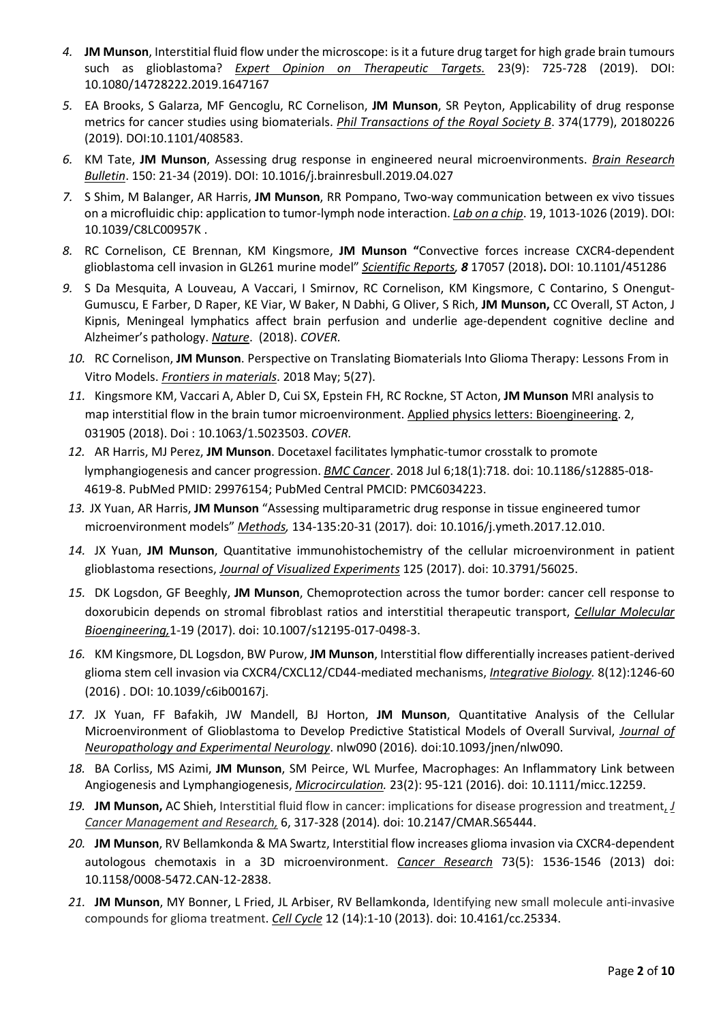- *4.* **JM Munson**, Interstitial fluid flow under the microscope: is it a future drug target for high grade brain tumours such as glioblastoma? *Expert Opinion on Therapeutic Targets.* 23(9): 725-728 (2019). DOI: 10.1080/14728222.2019.1647167
- *5.* EA Brooks, S Galarza, MF Gencoglu, RC Cornelison, **JM Munson**, SR Peyton, Applicability of drug response metrics for cancer studies using biomaterials. *Phil Transactions of the Royal Society B*. 374(1779), 20180226 (2019). DOI:10.1101/408583.
- *6.* KM Tate, **JM Munson**, Assessing drug response in engineered neural microenvironments. *Brain Research Bulletin*. 150: 21-34 (2019). DOI: 10.1016/j.brainresbull.2019.04.027
- *7.* S Shim, M Balanger, AR Harris, **JM Munson**, RR Pompano, Two-way communication between ex vivo tissues on a microfluidic chip: application to tumor-lymph node interaction. *Lab on a chip*. 19, 1013-1026 (2019). DOI: 10.1039/C8LC00957K .
- *8.* RC Cornelison, CE Brennan, KM Kingsmore, **JM Munson "**Convective forces increase CXCR4-dependent glioblastoma cell invasion in GL261 murine model" *Scientific Reports, 8* 17057 (2018)**.** DOI: 10.1101/451286
- *9.* S Da Mesquita, A Louveau, A Vaccari, I Smirnov, RC Cornelison, KM Kingsmore, C Contarino, S Onengut-Gumuscu, E Farber, D Raper, KE Viar, W Baker, N Dabhi, G Oliver, S Rich, **JM Munson,** CC Overall, ST Acton, J Kipnis, Meningeal lymphatics affect brain perfusion and underlie age-dependent cognitive decline and Alzheimer's pathology. *Nature*. (2018). *COVER.*
- *10.* RC Cornelison, **JM Munson**. Perspective on Translating Biomaterials Into Glioma Therapy: Lessons From in Vitro Models. *Frontiers in materials*. 2018 May; 5(27).
- *11.* Kingsmore KM, Vaccari A, Abler D, Cui SX, Epstein FH, RC Rockne, ST Acton, **JM Munson** MRI analysis to map interstitial flow in the brain tumor microenvironment. Applied physics letters: Bioengineering. 2, 031905 (2018). Doi : 10.1063/1.5023503. *COVER.*
- *12.* AR Harris, MJ Perez, **JM Munson**. Docetaxel facilitates lymphatic-tumor crosstalk to promote lymphangiogenesis and cancer progression. *BMC Cancer*. 2018 Jul 6;18(1):718. doi: 10.1186/s12885-018- 4619-8. PubMed PMID: 29976154; PubMed Central PMCID: PMC6034223.
- *13.* JX Yuan, AR Harris, **JM Munson** "Assessing multiparametric drug response in tissue engineered tumor microenvironment models" *Methods,* 134-135:20-31 (2017)*.* doi: 10.1016/j.ymeth.2017.12.010.
- *14.* JX Yuan, **JM Munson**, Quantitative immunohistochemistry of the cellular microenvironment in patient glioblastoma resections, *Journal of Visualized Experiments* 125 (2017). doi: 10.3791/56025.
- *15.* DK Logsdon, GF Beeghly, **JM Munson**, Chemoprotection across the tumor border: cancer cell response to doxorubicin depends on stromal fibroblast ratios and interstitial therapeutic transport, *Cellular Molecular Bioengineering,*1-19 (2017). doi: 10.1007/s12195-017-0498-3.
- *16.* KM Kingsmore, DL Logsdon, BW Purow, **JM Munson**, Interstitial flow differentially increases patient-derived glioma stem cell invasion via CXCR4/CXCL12/CD44-mediated mechanisms, *Integrative Biology.* 8(12):1246-60 (2016) *.* DOI: 10.1039/c6ib00167j.
- *17.* JX Yuan, FF Bafakih, JW Mandell, BJ Horton, **JM Munson**, Quantitative Analysis of the Cellular Microenvironment of Glioblastoma to Develop Predictive Statistical Models of Overall Survival, *Journal of Neuropathology and Experimental Neurology*. nlw090 (2016)*.* doi:10.1093/jnen/nlw090.
- *18.* BA Corliss, MS Azimi, **JM Munson**, SM Peirce, WL Murfee, Macrophages: An Inflammatory Link between Angiogenesis and Lymphangiogenesis, *Microcirculation.* 23(2): 95-121 (2016). doi: 10.1111/micc.12259.
- *19.* **JM Munson,** AC Shieh, Interstitial fluid flow in cancer: implications for disease progression and treatment, *J Cancer Management and Research,* 6, 317-328 (2014)*.* doi: 10.2147/CMAR.S65444.
- *20.* **JM Munson**, RV Bellamkonda & MA Swartz, Interstitial flow increases glioma invasion via CXCR4-dependent autologous chemotaxis in a 3D microenvironment. *Cancer Research* 73(5): 1536-1546 (2013) doi: 10.1158/0008-5472.CAN-12-2838.
- *21.* **JM Munson**, MY Bonner, L Fried, JL Arbiser, RV Bellamkonda, Identifying new small molecule anti-invasive compounds for glioma treatment. *Cell Cycle* 12 (14):1-10 (2013). doi: 10.4161/cc.25334.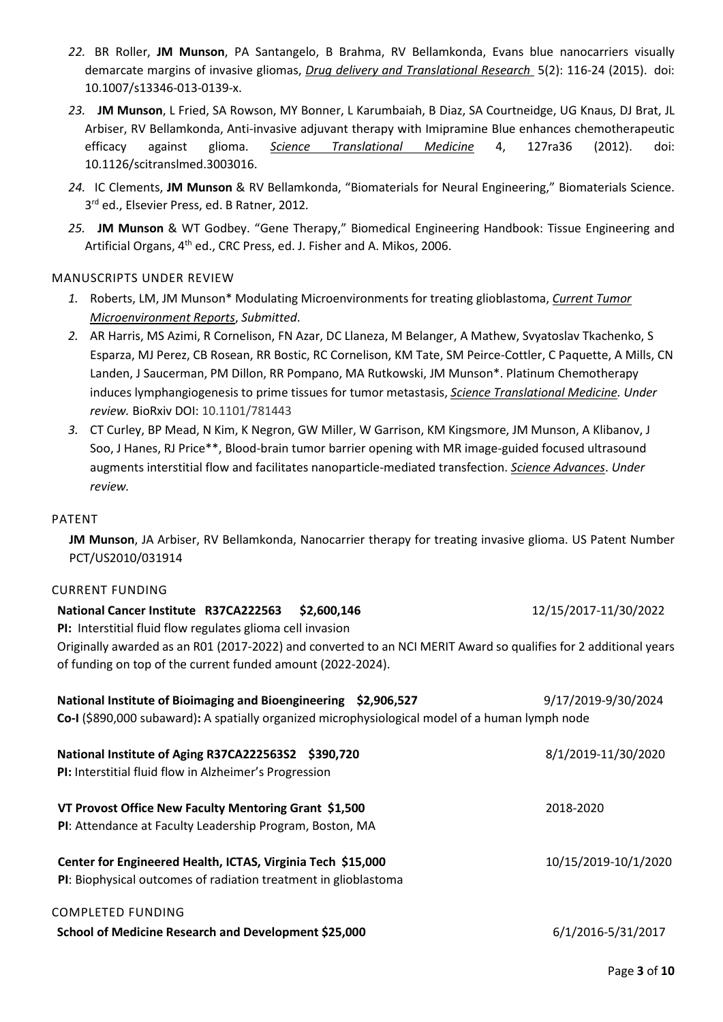- *22.* BR Roller, **JM Munson**, PA Santangelo, B Brahma, RV Bellamkonda, Evans blue nanocarriers visually demarcate margins of invasive gliomas, *Drug delivery and Translational Research* 5(2): 116-24 (2015). doi: 10.1007/s13346-013-0139-x.
- *23.* **JM Munson**, L Fried, SA Rowson, MY Bonner, L Karumbaiah, B Diaz, SA Courtneidge, UG Knaus, DJ Brat, JL Arbiser, RV Bellamkonda, Anti-invasive adjuvant therapy with Imipramine Blue enhances chemotherapeutic efficacy against glioma. *Science Translational Medicine* 4, 127ra36 (2012). doi: 10.1126/scitranslmed.3003016.
- *24.* IC Clements, **JM Munson** & RV Bellamkonda, "Biomaterials for Neural Engineering," Biomaterials Science. 3rd ed., Elsevier Press, ed. B Ratner, 2012*.*
- *25.* **JM Munson** & WT Godbey. "Gene Therapy," Biomedical Engineering Handbook: Tissue Engineering and Artificial Organs, 4<sup>th</sup> ed., CRC Press, ed. J. Fisher and A. Mikos, 2006.

#### MANUSCRIPTS UNDER REVIEW

- *1.* Roberts, LM, JM Munson\* Modulating Microenvironments for treating glioblastoma, *Current Tumor Microenvironment Reports*, *Submitted*.
- *2.* AR Harris, MS Azimi, R Cornelison, FN Azar, DC Llaneza, M Belanger, A Mathew, Svyatoslav Tkachenko, S Esparza, MJ Perez, CB Rosean, RR Bostic, RC Cornelison, KM Tate, SM Peirce-Cottler, C Paquette, A Mills, CN Landen, J Saucerman, PM Dillon, RR Pompano, MA Rutkowski, JM Munson\*. Platinum Chemotherapy induces lymphangiogenesis to prime tissues for tumor metastasis, *Science Translational Medicine. Under review.* BioRxiv DOI: 10.1101/781443
- *3.* CT Curley, BP Mead, N Kim, K Negron, GW Miller, W Garrison, KM Kingsmore, JM Munson, A Klibanov, J Soo, J Hanes, RJ Price\*\*, Blood-brain tumor barrier opening with MR image-guided focused ultrasound augments interstitial flow and facilitates nanoparticle-mediated transfection. *Science Advances*. *Under review.*

#### PATENT

**JM Munson**, JA Arbiser, RV Bellamkonda, Nanocarrier therapy for treating invasive glioma. US Patent Number PCT/US2010/031914

#### CURRENT FUNDING

| National Cancer Institute R37CA222563 \$2,600,146                                                                |  | 12/15/2017-11/30/2022 |  |
|------------------------------------------------------------------------------------------------------------------|--|-----------------------|--|
| PI: Interstitial fluid flow regulates glioma cell invasion                                                       |  |                       |  |
| Originally awarded as an R01 (2017-2022) and converted to an NCI MERIT Award so qualifies for 2 additional years |  |                       |  |
| of funding on top of the current funded amount (2022-2024).                                                      |  |                       |  |
| National Institute of Bioimaging and Bioengineering \$2,906,527                                                  |  | 9/17/2019-9/30/2024   |  |
| Co-I (\$890,000 subaward): A spatially organized microphysiological model of a human lymph node                  |  |                       |  |
| National Institute of Aging R37CA222563S2 \$390,720                                                              |  | 8/1/2019-11/30/2020   |  |
| PI: Interstitial fluid flow in Alzheimer's Progression                                                           |  |                       |  |
| VT Provost Office New Faculty Mentoring Grant \$1,500                                                            |  | 2018-2020             |  |
| PI: Attendance at Faculty Leadership Program, Boston, MA                                                         |  |                       |  |
| Center for Engineered Health, ICTAS, Virginia Tech \$15,000                                                      |  | 10/15/2019-10/1/2020  |  |
| PI: Biophysical outcomes of radiation treatment in glioblastoma                                                  |  |                       |  |
| COMPLETED FUNDING                                                                                                |  |                       |  |
| School of Medicine Research and Development \$25,000                                                             |  | 6/1/2016-5/31/2017    |  |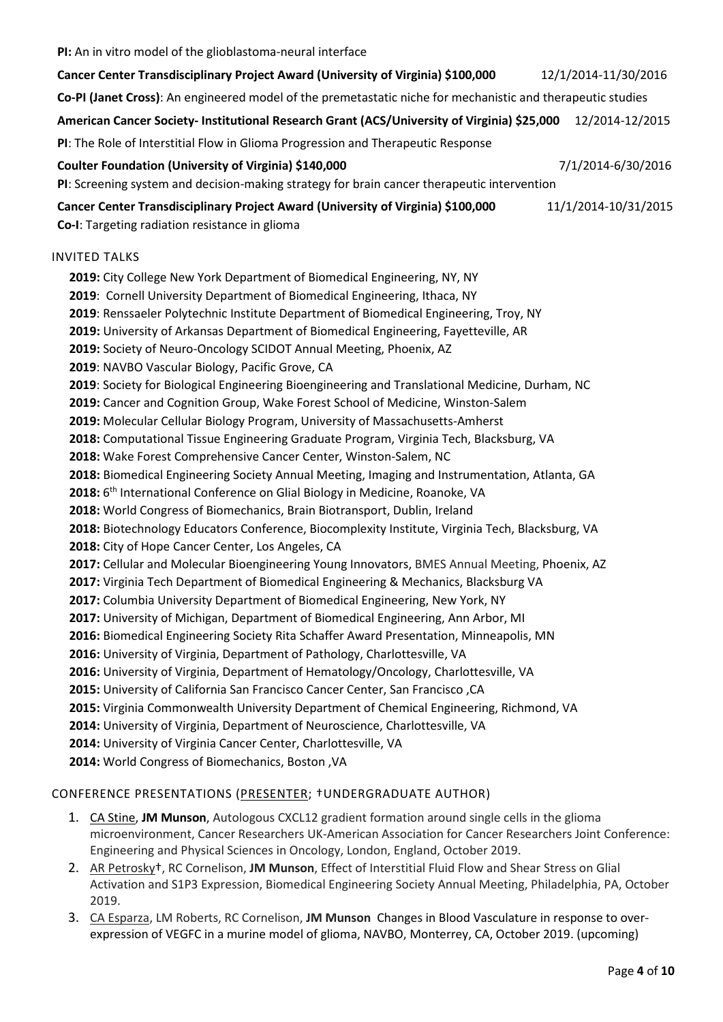**PI:** An in vitro model of the glioblastoma-neural interface **Cancer Center Transdisciplinary Project Award (University of Virginia) \$100,000** 12/1/2014-11/30/2016 **Co-PI (Janet Cross)**: An engineered model of the premetastatic niche for mechanistic and therapeutic studies **American Cancer Society- Institutional Research Grant (ACS/University of Virginia) \$25,000** 12/2014-12/2015 **PI**: The Role of Interstitial Flow in Glioma Progression and Therapeutic Response **Coulter Foundation (University of Virginia) \$140,000** 7/1/2014-6/30/2016 **PI**: Screening system and decision-making strategy for brain cancer therapeutic intervention **Cancer Center Transdisciplinary Project Award (University of Virginia) \$100,000** 11/1/2014-10/31/2015 **Co-I**: Targeting radiation resistance in glioma INVITED TALKS **2019:** City College New York Department of Biomedical Engineering, NY, NY **2019**: Cornell University Department of Biomedical Engineering, Ithaca, NY **2019**: Renssaeler Polytechnic Institute Department of Biomedical Engineering, Troy, NY **2019:** University of Arkansas Department of Biomedical Engineering, Fayetteville, AR **2019:** Society of Neuro-Oncology SCIDOT Annual Meeting, Phoenix, AZ **2019**: NAVBO Vascular Biology, Pacific Grove, CA **2019**: Society for Biological Engineering Bioengineering and Translational Medicine, Durham, NC **2019:** Cancer and Cognition Group, Wake Forest School of Medicine, Winston-Salem **2019:** Molecular Cellular Biology Program, University of Massachusetts-Amherst **2018:** Computational Tissue Engineering Graduate Program, Virginia Tech, Blacksburg, VA **2018:** Wake Forest Comprehensive Cancer Center, Winston-Salem, NC **2018:** Biomedical Engineering Society Annual Meeting, Imaging and Instrumentation, Atlanta, GA **2018:** 6th International Conference on Glial Biology in Medicine, Roanoke, VA **2018:** World Congress of Biomechanics, Brain Biotransport, Dublin, Ireland **2018:** Biotechnology Educators Conference, Biocomplexity Institute, Virginia Tech, Blacksburg, VA **2018:** City of Hope Cancer Center, Los Angeles, CA **2017:** Cellular and Molecular Bioengineering Young Innovators, BMES Annual Meeting, Phoenix, AZ **2017:** Virginia Tech Department of Biomedical Engineering & Mechanics, Blacksburg VA **2017:** Columbia University Department of Biomedical Engineering, New York, NY **2017:** University of Michigan, Department of Biomedical Engineering, Ann Arbor, MI **2016:** Biomedical Engineering Society Rita Schaffer Award Presentation, Minneapolis, MN **2016:** University of Virginia, Department of Pathology, Charlottesville, VA **2016:** University of Virginia, Department of Hematology/Oncology, Charlottesville, VA **2015:** University of California San Francisco Cancer Center, San Francisco ,CA **2015:** Virginia Commonwealth University Department of Chemical Engineering, Richmond, VA **2014:** University of Virginia, Department of Neuroscience, Charlottesville, VA **2014:** University of Virginia Cancer Center, Charlottesville, VA **2014:** World Congress of Biomechanics, Boston ,VA CONFERENCE PRESENTATIONS (PRESENTER; †UNDERGRADUATE AUTHOR)

- 1. CA Stine, **JM Munson**, Autologous CXCL12 gradient formation around single cells in the glioma microenvironment, Cancer Researchers UK-American Association for Cancer Researchers Joint Conference: Engineering and Physical Sciences in Oncology, London, England, October 2019.
- 2. AR Petrosky†, RC Cornelison, **JM Munson**, Effect of Interstitial Fluid Flow and Shear Stress on Glial Activation and S1P3 Expression, Biomedical Engineering Society Annual Meeting, Philadelphia, PA, October 2019.
- 3. CA Esparza, LM Roberts, RC Cornelison, **JM Munson** Changes in Blood Vasculature in response to overexpression of VEGFC in a murine model of glioma, NAVBO, Monterrey, CA, October 2019. (upcoming)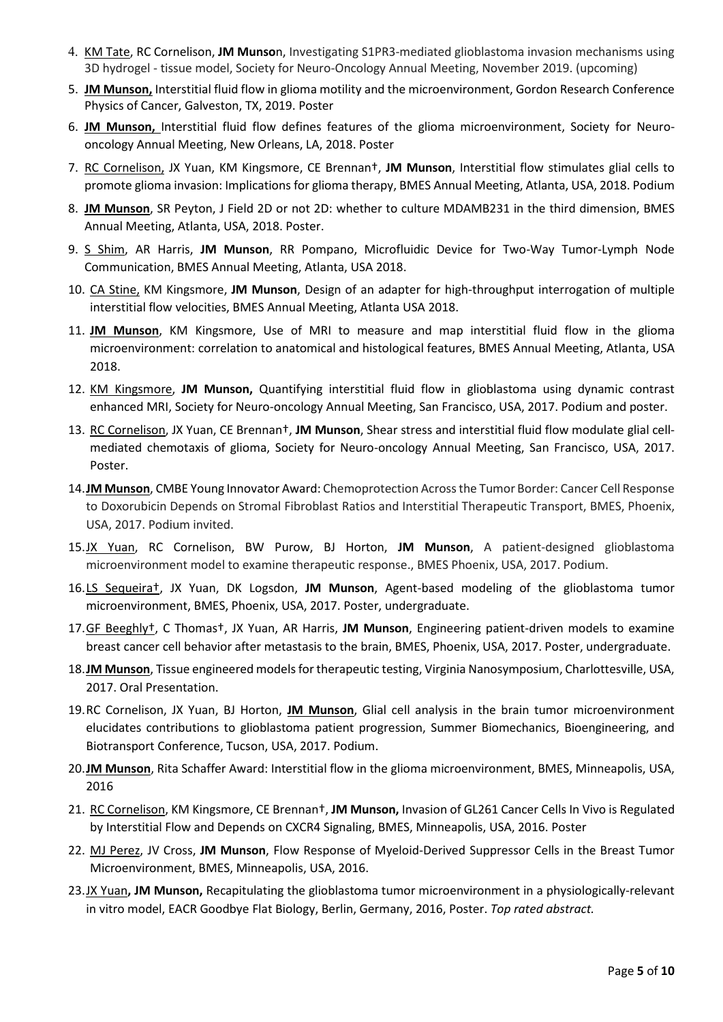- 4. KM Tate, RC Cornelison, **JM Munso**n, Investigating S1PR3-mediated glioblastoma invasion mechanisms using 3D hydrogel - tissue model, Society for Neuro-Oncology Annual Meeting, November 2019. (upcoming)
- 5. **JM Munson,** Interstitial fluid flow in glioma motility and the microenvironment, Gordon Research Conference Physics of Cancer, Galveston, TX, 2019. Poster
- 6. **JM Munson,** Interstitial fluid flow defines features of the glioma microenvironment, Society for Neurooncology Annual Meeting, New Orleans, LA, 2018. Poster
- 7. RC Cornelison, JX Yuan, KM Kingsmore, CE Brennan†, **JM Munson**, Interstitial flow stimulates glial cells to promote glioma invasion: Implications for glioma therapy, BMES Annual Meeting, Atlanta, USA, 2018. Podium
- 8. **JM Munson**, SR Peyton, J Field 2D or not 2D: whether to culture MDAMB231 in the third dimension, BMES Annual Meeting, Atlanta, USA, 2018. Poster.
- 9. S Shim, AR Harris, **JM Munson**, RR Pompano, Microfluidic Device for Two-Way Tumor-Lymph Node Communication, BMES Annual Meeting, Atlanta, USA 2018.
- 10. CA Stine, KM Kingsmore, **JM Munson**, Design of an adapter for high-throughput interrogation of multiple interstitial flow velocities, BMES Annual Meeting, Atlanta USA 2018.
- 11. **JM Munson**, KM Kingsmore, Use of MRI to measure and map interstitial fluid flow in the glioma microenvironment: correlation to anatomical and histological features, BMES Annual Meeting, Atlanta, USA 2018.
- 12. KM Kingsmore, **JM Munson,** Quantifying interstitial fluid flow in glioblastoma using dynamic contrast enhanced MRI, Society for Neuro-oncology Annual Meeting, San Francisco, USA, 2017. Podium and poster.
- 13. RC Cornelison, JX Yuan, CE Brennan†, **JM Munson**, Shear stress and interstitial fluid flow modulate glial cellmediated chemotaxis of glioma, Society for Neuro-oncology Annual Meeting, San Francisco, USA, 2017. Poster.
- 14.**JM Munson**, CMBE Young Innovator Award: Chemoprotection Across the Tumor Border: Cancer Cell Response to Doxorubicin Depends on Stromal Fibroblast Ratios and Interstitial Therapeutic Transport, BMES, Phoenix, USA, 2017. Podium invited.
- 15.JX Yuan, RC Cornelison, BW Purow, BJ Horton, **JM Munson**, A patient-designed glioblastoma microenvironment model to examine therapeutic response., BMES Phoenix, USA, 2017. Podium.
- 16.LS Sequeira†, JX Yuan, DK Logsdon, **JM Munson**, Agent-based modeling of the glioblastoma tumor microenvironment, BMES, Phoenix, USA, 2017. Poster, undergraduate.
- 17.GF Beeghly†, C Thomas†, JX Yuan, AR Harris, **JM Munson**, Engineering patient-driven models to examine breast cancer cell behavior after metastasis to the brain, BMES, Phoenix, USA, 2017. Poster, undergraduate.
- 18.**JM Munson**, Tissue engineered models for therapeutic testing, Virginia Nanosymposium, Charlottesville, USA, 2017. Oral Presentation.
- 19.RC Cornelison, JX Yuan, BJ Horton, **JM Munson**, Glial cell analysis in the brain tumor microenvironment elucidates contributions to glioblastoma patient progression, Summer Biomechanics, Bioengineering, and Biotransport Conference, Tucson, USA, 2017. Podium.
- 20.**JM Munson**, Rita Schaffer Award: Interstitial flow in the glioma microenvironment, BMES, Minneapolis, USA, 2016
- 21. RC Cornelison, KM Kingsmore, CE Brennan†, **JM Munson,** Invasion of GL261 Cancer Cells In Vivo is Regulated by Interstitial Flow and Depends on CXCR4 Signaling, BMES, Minneapolis, USA, 2016. Poster
- 22. MJ Perez, JV Cross, **JM Munson**, Flow Response of Myeloid-Derived Suppressor Cells in the Breast Tumor Microenvironment, BMES, Minneapolis, USA, 2016.
- 23.JX Yuan**, JM Munson,** Recapitulating the glioblastoma tumor microenvironment in a physiologically-relevant in vitro model, EACR Goodbye Flat Biology, Berlin, Germany, 2016, Poster. *Top rated abstract.*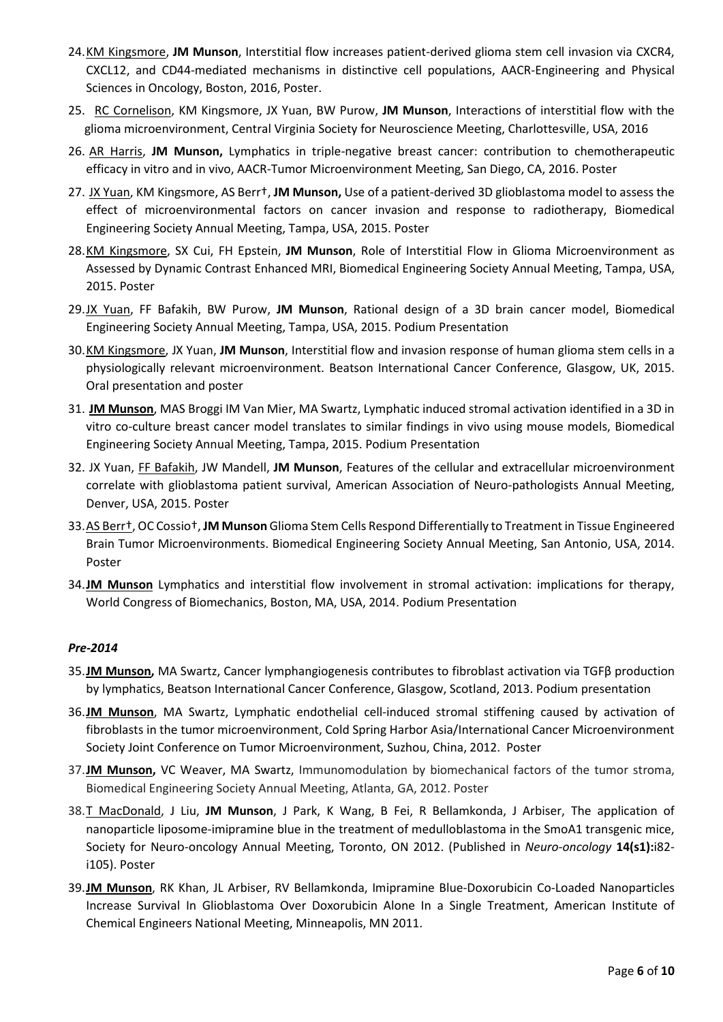- 24.KM Kingsmore, **JM Munson**, Interstitial flow increases patient-derived glioma stem cell invasion via CXCR4, CXCL12, and CD44-mediated mechanisms in distinctive cell populations, AACR-Engineering and Physical Sciences in Oncology, Boston, 2016, Poster.
- 25. RC Cornelison, KM Kingsmore, JX Yuan, BW Purow, **JM Munson**, Interactions of interstitial flow with the glioma microenvironment, Central Virginia Society for Neuroscience Meeting, Charlottesville, USA, 2016
- 26. AR Harris, **JM Munson,** Lymphatics in triple-negative breast cancer: contribution to chemotherapeutic efficacy in vitro and in vivo, AACR-Tumor Microenvironment Meeting, San Diego, CA, 2016. Poster
- 27. JX Yuan, KM Kingsmore, AS Berr†, **JM Munson,** Use of a patient-derived 3D glioblastoma model to assess the effect of microenvironmental factors on cancer invasion and response to radiotherapy, Biomedical Engineering Society Annual Meeting, Tampa, USA, 2015. Poster
- 28.KM Kingsmore, SX Cui, FH Epstein, **JM Munson**, Role of Interstitial Flow in Glioma Microenvironment as Assessed by Dynamic Contrast Enhanced MRI, Biomedical Engineering Society Annual Meeting, Tampa, USA, 2015. Poster
- 29.JX Yuan, FF Bafakih, BW Purow, **JM Munson**, Rational design of a 3D brain cancer model, Biomedical Engineering Society Annual Meeting, Tampa, USA, 2015. Podium Presentation
- 30.KM Kingsmore, JX Yuan, **JM Munson**, Interstitial flow and invasion response of human glioma stem cells in a physiologically relevant microenvironment. Beatson International Cancer Conference, Glasgow, UK, 2015. Oral presentation and poster
- 31. **JM Munson**, MAS Broggi IM Van Mier, MA Swartz, Lymphatic induced stromal activation identified in a 3D in vitro co-culture breast cancer model translates to similar findings in vivo using mouse models, Biomedical Engineering Society Annual Meeting, Tampa, 2015. Podium Presentation
- 32. JX Yuan, FF Bafakih, JW Mandell, **JM Munson**, Features of the cellular and extracellular microenvironment correlate with glioblastoma patient survival, American Association of Neuro-pathologists Annual Meeting, Denver, USA, 2015. Poster
- 33.AS Berr†, OC Cossio†, **JM Munson** Glioma Stem Cells Respond Differentially to Treatment in Tissue Engineered Brain Tumor Microenvironments. Biomedical Engineering Society Annual Meeting, San Antonio, USA, 2014. Poster
- 34.**JM Munson** Lymphatics and interstitial flow involvement in stromal activation: implications for therapy, World Congress of Biomechanics, Boston, MA, USA, 2014. Podium Presentation

## *Pre-2014*

- 35.**JM Munson,** MA Swartz, Cancer lymphangiogenesis contributes to fibroblast activation via TGFβ production by lymphatics, Beatson International Cancer Conference, Glasgow, Scotland, 2013. Podium presentation
- 36.**JM Munson**, MA Swartz, Lymphatic endothelial cell-induced stromal stiffening caused by activation of fibroblasts in the tumor microenvironment, Cold Spring Harbor Asia/International Cancer Microenvironment Society Joint Conference on Tumor Microenvironment, Suzhou, China, 2012. Poster
- 37.**JM Munson,** VC Weaver, MA Swartz, Immunomodulation by biomechanical factors of the tumor stroma, Biomedical Engineering Society Annual Meeting, Atlanta, GA, 2012. Poster
- 38.T MacDonald, J Liu, **JM Munson**, J Park, K Wang, B Fei, R Bellamkonda, J Arbiser, The application of nanoparticle liposome-imipramine blue in the treatment of medulloblastoma in the SmoA1 transgenic mice, Society for Neuro-oncology Annual Meeting, Toronto, ON 2012. (Published in *Neuro-oncology* **14(s1):**i82 i105). Poster
- 39.**JM Munson**, RK Khan, JL Arbiser, RV Bellamkonda, Imipramine Blue-Doxorubicin Co-Loaded Nanoparticles Increase Survival In Glioblastoma Over Doxorubicin Alone In a Single Treatment, American Institute of Chemical Engineers National Meeting, Minneapolis, MN 2011.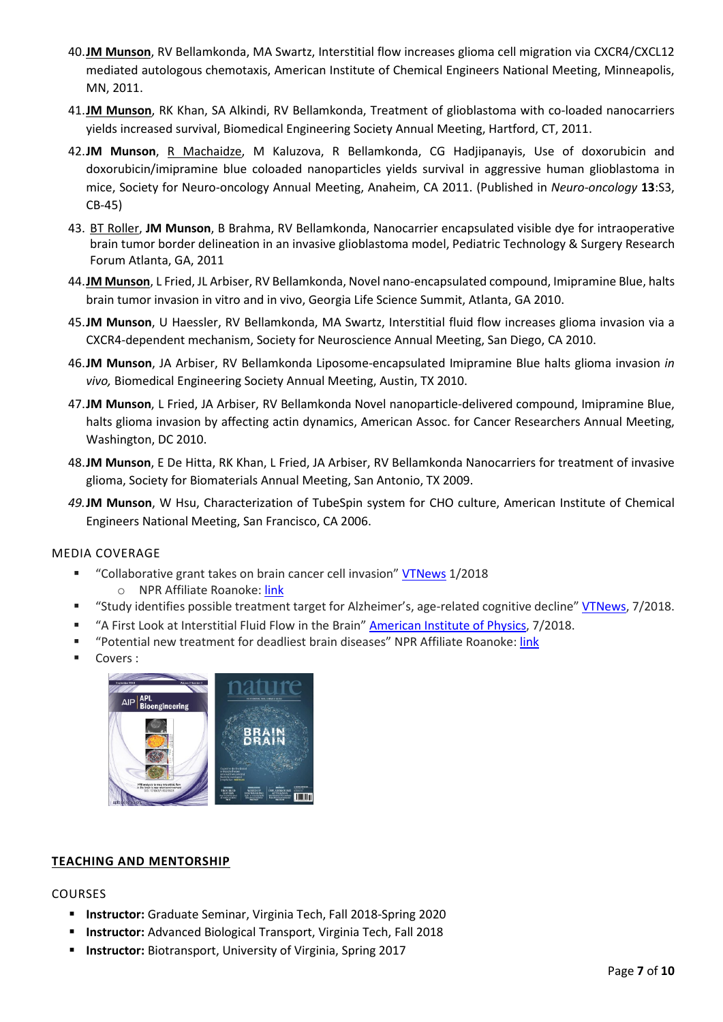- 40.**JM Munson**, RV Bellamkonda, MA Swartz, Interstitial flow increases glioma cell migration via CXCR4/CXCL12 mediated autologous chemotaxis, American Institute of Chemical Engineers National Meeting, Minneapolis, MN, 2011.
- 41.**JM Munson**, RK Khan, SA Alkindi, RV Bellamkonda, Treatment of glioblastoma with co-loaded nanocarriers yields increased survival, Biomedical Engineering Society Annual Meeting, Hartford, CT, 2011.
- 42.**JM Munson**, R Machaidze, M Kaluzova, R Bellamkonda, CG Hadjipanayis, Use of doxorubicin and doxorubicin/imipramine blue coloaded nanoparticles yields survival in aggressive human glioblastoma in mice, Society for Neuro-oncology Annual Meeting, Anaheim, CA 2011. (Published in *Neuro-oncology* **13**:S3, CB-45)
- 43. BT Roller, **JM Munson**, B Brahma, RV Bellamkonda, Nanocarrier encapsulated visible dye for intraoperative brain tumor border delineation in an invasive glioblastoma model, Pediatric Technology & Surgery Research Forum Atlanta, GA, 2011
- 44.**JM Munson**, L Fried, JL Arbiser, RV Bellamkonda, Novel nano-encapsulated compound, Imipramine Blue, halts brain tumor invasion in vitro and in vivo, Georgia Life Science Summit, Atlanta, GA 2010.
- 45.**JM Munson**, U Haessler, RV Bellamkonda, MA Swartz, Interstitial fluid flow increases glioma invasion via a CXCR4-dependent mechanism, Society for Neuroscience Annual Meeting, San Diego, CA 2010.
- 46.**JM Munson**, JA Arbiser, RV Bellamkonda Liposome-encapsulated Imipramine Blue halts glioma invasion *in vivo,* Biomedical Engineering Society Annual Meeting, Austin, TX 2010.
- 47.**JM Munson**, L Fried, JA Arbiser, RV Bellamkonda Novel nanoparticle-delivered compound, Imipramine Blue, halts glioma invasion by affecting actin dynamics, American Assoc. for Cancer Researchers Annual Meeting, Washington, DC 2010.
- 48.**JM Munson**, E De Hitta, RK Khan, L Fried, JA Arbiser, RV Bellamkonda Nanocarriers for treatment of invasive glioma, Society for Biomaterials Annual Meeting, San Antonio, TX 2009.
- *49.***JM Munson**, W Hsu, Characterization of TubeSpin system for CHO culture, American Institute of Chemical Engineers National Meeting, San Francisco, CA 2006.

## MEDIA COVERAGE

- "Collaborative grant takes on brain cancer cell invasion" [VTNews](https://vtnews.vt.edu/articles/2018/01/collaborative-grant-brain-cancer-cell-invasion.html) 1/2018
	- o NPR Affiliate Roanoke: [link](http://wvtf.org/post/vt-leads-glioblastoma-study)
- "Study identifies possible treatment target for Alzheimer's, age-related cognitive decline[" VTNews,](https://vtnews.vt.edu/articles/2018/07/drainage-brain-treatment-Alzheimer) 7/2018.
- "A First Look at Interstitial Fluid Flow in the Brain" American [Institute of Physics,](https://publishing.aip.org/publishing/journal-highlights/first-look-interstitial-fluid-flow-brain) 7/2018.
- "Potential new treatment for deadliest brain diseases" NPR Affiliate Roanoke: [link](http://www.wvtf.org/post/potential-new-treatment-deadliest-brain-diseases#stream/0)
- Covers :



## **TEACHING AND MENTORSHIP**

## COURSES

- **Instructor:** Graduate Seminar, Virginia Tech, Fall 2018-Spring 2020
- **Instructor:** Advanced Biological Transport, Virginia Tech, Fall 2018
- **Instructor:** Biotransport, University of Virginia, Spring 2017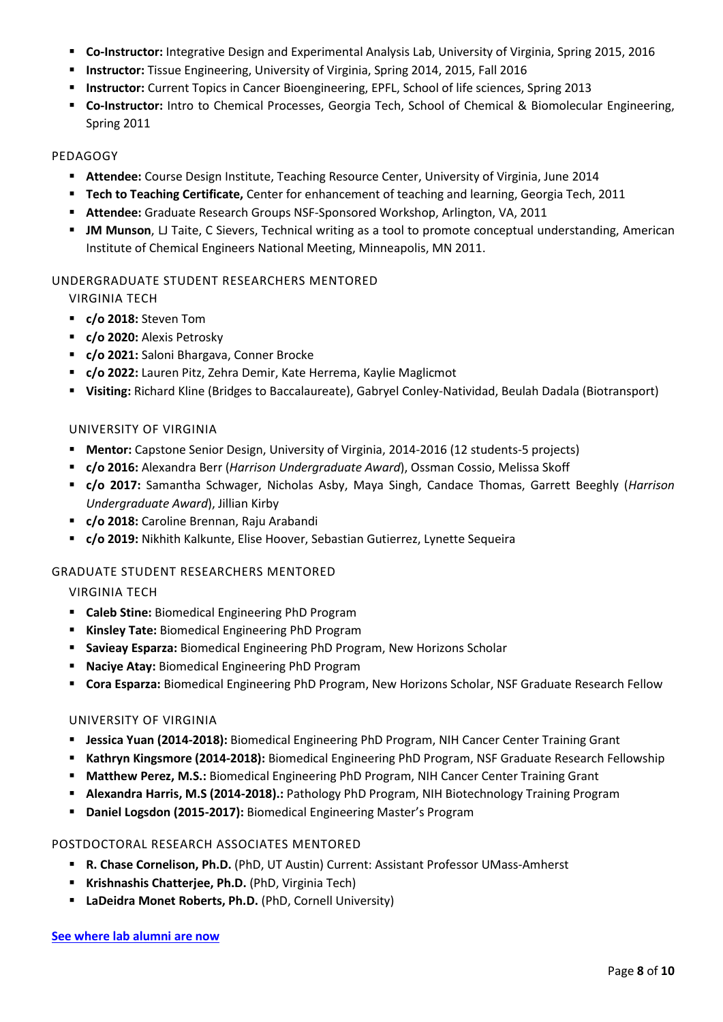- **Co-Instructor:** Integrative Design and Experimental Analysis Lab, University of Virginia, Spring 2015, 2016
- **Instructor:** Tissue Engineering, University of Virginia, Spring 2014, 2015, Fall 2016
- **Instructor:** Current Topics in Cancer Bioengineering, EPFL, School of life sciences, Spring 2013
- **Co-Instructor:** Intro to Chemical Processes, Georgia Tech, School of Chemical & Biomolecular Engineering, Spring 2011

# PEDAGOGY

- **Attendee:** Course Design Institute, Teaching Resource Center, University of Virginia, June 2014
- **Tech to Teaching Certificate,** Center for enhancement of teaching and learning, Georgia Tech, 2011
- **Attendee:** Graduate Research Groups NSF-Sponsored Workshop, Arlington, VA, 2011
- **JM Munson**, LJ Taite, C Sievers, Technical writing as a tool to promote conceptual understanding, American Institute of Chemical Engineers National Meeting, Minneapolis, MN 2011.

# UNDERGRADUATE STUDENT RESEARCHERS MENTORED

VIRGINIA TECH

- **c/o 2018:** Steven Tom
- **c/o 2020:** Alexis Petrosky
- **c/o 2021:** Saloni Bhargava, Conner Brocke
- **c/o 2022:** Lauren Pitz, Zehra Demir, Kate Herrema, Kaylie Maglicmot
- **Visiting:** Richard Kline (Bridges to Baccalaureate), Gabryel Conley-Natividad, Beulah Dadala (Biotransport)

## UNIVERSITY OF VIRGINIA

- **Mentor:** Capstone Senior Design, University of Virginia, 2014-2016 (12 students-5 projects)
- **c/o 2016:** Alexandra Berr (*Harrison Undergraduate Award*), Ossman Cossio, Melissa Skoff
- **c/o 2017:** Samantha Schwager, Nicholas Asby, Maya Singh, Candace Thomas, Garrett Beeghly (*Harrison Undergraduate Award*), Jillian Kirby
- **c/o 2018:** Caroline Brennan, Raju Arabandi
- **c/o 2019:** Nikhith Kalkunte, Elise Hoover, Sebastian Gutierrez, Lynette Sequeira

## GRADUATE STUDENT RESEARCHERS MENTORED

VIRGINIA TECH

- **Caleb Stine:** Biomedical Engineering PhD Program
- **Kinsley Tate:** Biomedical Engineering PhD Program
- **Savieay Esparza:** Biomedical Engineering PhD Program, New Horizons Scholar
- **Naciye Atay:** Biomedical Engineering PhD Program
- **Cora Esparza:** Biomedical Engineering PhD Program, New Horizons Scholar, NSF Graduate Research Fellow

## UNIVERSITY OF VIRGINIA

- **Jessica Yuan (2014-2018):** Biomedical Engineering PhD Program, NIH Cancer Center Training Grant
- **Kathryn Kingsmore (2014-2018):** Biomedical Engineering PhD Program, NSF Graduate Research Fellowship
- **Matthew Perez, M.S.:** Biomedical Engineering PhD Program, NIH Cancer Center Training Grant
- **Alexandra Harris, M.S (2014-2018).:** Pathology PhD Program, NIH Biotechnology Training Program
- **Daniel Logsdon (2015-2017):** Biomedical Engineering Master's Program

## POSTDOCTORAL RESEARCH ASSOCIATES MENTORED

- **R. Chase Cornelison, Ph.D.** (PhD, UT Austin) Current: Assistant Professor UMass-Amherst
- **Krishnashis Chatterjee, Ph.D.** (PhD, Virginia Tech)
- **LaDeidra Monet Roberts, Ph.D.** (PhD, Cornell University)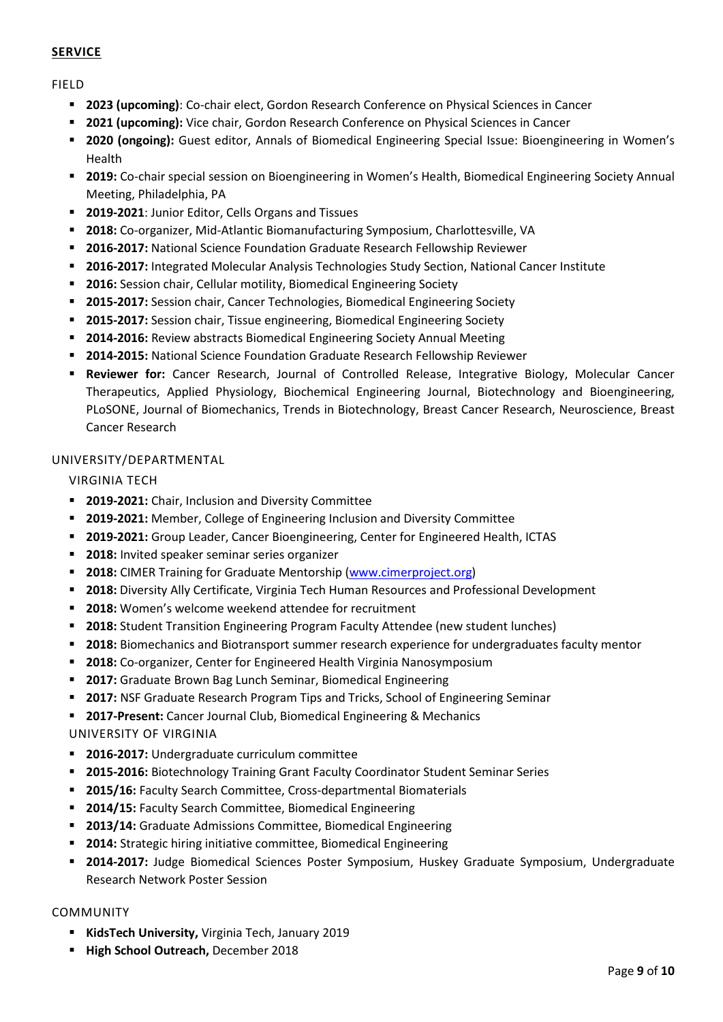#### **SERVICE**

FIELD

- **2023 (upcoming)**: Co-chair elect, Gordon Research Conference on Physical Sciences in Cancer
- **2021 (upcoming):** Vice chair, Gordon Research Conference on Physical Sciences in Cancer
- **2020 (ongoing):** Guest editor, Annals of Biomedical Engineering Special Issue: Bioengineering in Women's Health
- **2019:** Co-chair special session on Bioengineering in Women's Health, Biomedical Engineering Society Annual Meeting, Philadelphia, PA
- **2019-2021**: Junior Editor, Cells Organs and Tissues
- **2018:** Co-organizer, Mid-Atlantic Biomanufacturing Symposium, Charlottesville, VA
- **2016-2017:** National Science Foundation Graduate Research Fellowship Reviewer
- **2016-2017:** Integrated Molecular Analysis Technologies Study Section, National Cancer Institute
- **2016:** Session chair, Cellular motility, Biomedical Engineering Society
- **2015-2017:** Session chair, Cancer Technologies, Biomedical Engineering Society
- **2015-2017:** Session chair, Tissue engineering, Biomedical Engineering Society
- **2014-2016:** Review abstracts Biomedical Engineering Society Annual Meeting
- **2014-2015:** National Science Foundation Graduate Research Fellowship Reviewer
- **Reviewer for:** Cancer Research, Journal of Controlled Release, Integrative Biology, Molecular Cancer Therapeutics, Applied Physiology, Biochemical Engineering Journal, Biotechnology and Bioengineering, PLoSONE, Journal of Biomechanics, Trends in Biotechnology, Breast Cancer Research, Neuroscience, Breast Cancer Research

#### UNIVERSITY/DEPARTMENTAL

VIRGINIA TECH

- **2019-2021:** Chair, Inclusion and Diversity Committee
- **2019-2021:** Member, College of Engineering Inclusion and Diversity Committee
- **2019-2021:** Group Leader, Cancer Bioengineering, Center for Engineered Health, ICTAS
- **2018:** Invited speaker seminar series organizer
- **2018:** CIMER Training for Graduate Mentorship [\(www.cimerproject.org\)](http://www.cimerproject.org/)
- **2018:** Diversity Ally Certificate, Virginia Tech Human Resources and Professional Development
- **2018:** Women's welcome weekend attendee for recruitment
- **2018:** Student Transition Engineering Program Faculty Attendee (new student lunches)
- **2018:** Biomechanics and Biotransport summer research experience for undergraduates faculty mentor
- **2018:** Co-organizer, Center for Engineered Health Virginia Nanosymposium
- **2017:** Graduate Brown Bag Lunch Seminar, Biomedical Engineering
- **2017:** NSF Graduate Research Program Tips and Tricks, School of Engineering Seminar
- **2017-Present:** Cancer Journal Club, Biomedical Engineering & Mechanics

UNIVERSITY OF VIRGINIA

- **2016-2017:** Undergraduate curriculum committee
- **2015-2016: Biotechnology Training Grant Faculty Coordinator Student Seminar Series**
- **2015/16:** Faculty Search Committee, Cross-departmental Biomaterials
- **2014/15:** Faculty Search Committee, Biomedical Engineering
- **2013/14:** Graduate Admissions Committee, Biomedical Engineering
- **2014:** Strategic hiring initiative committee, Biomedical Engineering
- **2014-2017:** Judge Biomedical Sciences Poster Symposium, Huskey Graduate Symposium, Undergraduate Research Network Poster Session

#### COMMUNITY

- **KidsTech University,** Virginia Tech, January 2019
- **High School Outreach, December 2018**